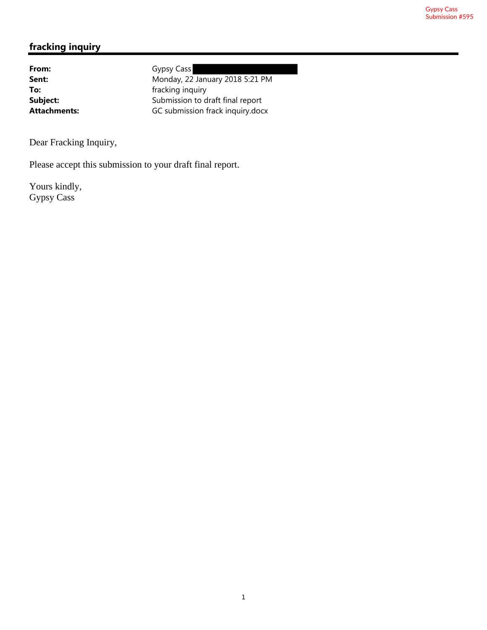## **fracking inquiry**

From: Gypsy Cass **Sent:** Monday, 22 January 2018 5:21 PM **To:** fracking inquiry **Subject:** Submission to draft final report Attachments: GC submission frack inquiry.docx

Dear Fracking Inquiry,

Please accept this submission to your draft final report.

Yours kindly, Gypsy Cass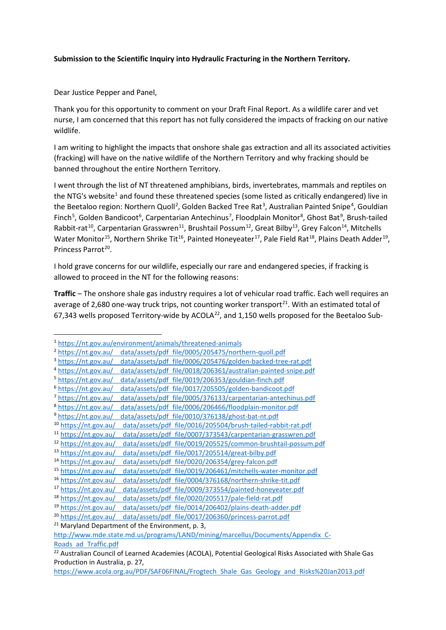## **Submission to the Scientific Inquiry into Hydraulic Fracturing in the Northern Territory.**

Dear Justice Pepper and Panel,

Thank you for this opportunity to comment on your Draft Final Report. As a wildlife carer and vet nurse, I am concerned that this report has not fully considered the impacts of fracking on our native wildlife.

I am writing to highlight the impacts that onshore shale gas extraction and all its associated activities (fracking) will have on the native wildlife of the Northern Territory and why fracking should be banned throughout the entire Northern Territory.

I went through the list of NT threatened amphibians, birds, invertebrates, mammals and reptiles on the NTG's website<sup>1</sup> and found these threatened species (some listed as critically endangered) live in the Beetaloo region: Northern Quoll<sup>2</sup>, Golden Backed Tree Rat<sup>3</sup>, Australian Painted Snipe<sup>4</sup>, Gouldian Finch<sup>5</sup>, Golden Bandicoot<sup>6</sup>, Carpentarian Antechinus<sup>7</sup>, Floodplain Monitor<sup>8</sup>, Ghost Bat<sup>9</sup>, Brush-tailed Rabbit-rat<sup>10</sup>, Carpentarian Grasswren<sup>11</sup>, Brushtail Possum<sup>12</sup>, Great Bilby<sup>13</sup>, Grey Falcon<sup>14</sup>, Mitchells Water Monitor<sup>15</sup>, Northern Shrike Tit<sup>16</sup>, Painted Honeyeater<sup>17</sup>, Pale Field Rat<sup>18</sup>, Plains Death Adder<sup>19</sup>, Princess Parrot<sup>20</sup>.

I hold grave concerns for our wildlife, especially our rare and endangered species, if fracking is allowed to proceed in the NT for the following reasons:

**Traffic** – The onshore shale gas industry requires a lot of vehicular road traffic. Each well requires an average of 2,680 one-way truck trips, not counting worker transport<sup>21</sup>. With an estimated total of 67,343 wells proposed Territory-wide by ACOLA<sup>22</sup>, and 1,150 wells proposed for the Beetaloo Sub-

1

<sup>&</sup>lt;sup>1</sup>https://nt.gov.au/environment/animals/threatened-animals<br>
<sup>2</sup>https://nt.gov.au/ data/assets/pdf file/0005/205475/northern-quoll.pdf<br>
<sup>3</sup>https://nt.gov.au/ data/assets/pdf file/0006/205476/golden-backed-tree-rat.pdf<br>
<sup>4</sup>

<sup>6</sup> https://nt.gov.au/ data/assets/pdf file/0017/205505/golden-bandicoot.pdf

<sup>7</sup> https://nt.gov.au/ data/assets/pdf file/0005/376133/carpentarian-antechinus.pdf<br>8 https://nt.gov.au/ data/assets/pdf file/0006/206466/floodplain-monitor.pdf<br>9 https://nt.gov.au/ data/assets/pdf file/0010/376138/ghost-bat

<sup>&</sup>lt;sup>12</sup> https://nt.gov.au/ data/assets/pdf file/0019/205525/common-brushtail-possum.pdf<br>
<sup>13</sup> https://nt.gov.au/ data/assets/pdf file/0017/205514/great-bilby.pdf<br>
<sup>14</sup> https://nt.gov.au/ data/assets/pdf file/0020/206354/grey

http://www.mde.state.md.us/programs/LAND/mining/marcellus/Documents/Appendix C-

Roads ad Traffic.pdf<br><sup>22</sup> Australian Council of Learned Academies (ACOLA), Potential Geological Risks Associated with Shale Gas Production in Australia, p. 27,

https://www.acola.org.au/PDF/SAF06FINAL/Frogtech Shale Gas Geology and Risks%20Jan2013.pdf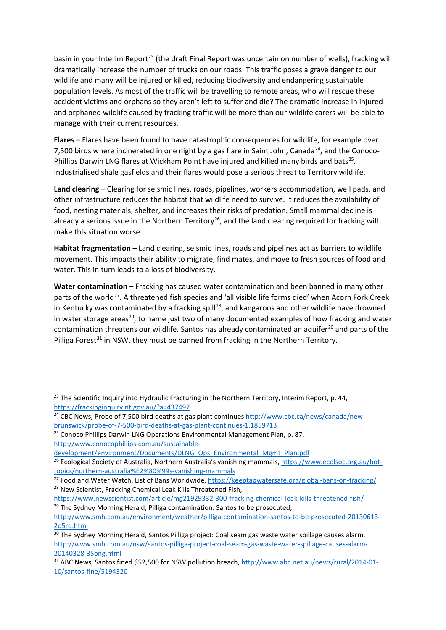basin in your Interim Report<sup>23</sup> (the draft Final Report was uncertain on number of wells), fracking will dramatically increase the number of trucks on our roads. This traffic poses a grave danger to our wildlife and many will be injured or killed, reducing biodiversity and endangering sustainable population levels. As most of the traffic will be travelling to remote areas, who will rescue these accident victims and orphans so they aren't left to suffer and die? The dramatic increase in injured and orphaned wildlife caused by fracking traffic will be more than our wildlife carers will be able to manage with their current resources.

**Flares** – Flares have been found to have catastrophic consequences for wildlife, for example over 7,500 birds where incinerated in one night by a gas flare in Saint John, Canada<sup>24</sup>, and the Conoco-Phillips Darwin LNG flares at Wickham Point have injured and killed many birds and bats<sup>25</sup>. Industrialised shale gasfields and their flares would pose a serious threat to Territory wildlife.

**Land clearing** – Clearing for seismic lines, roads, pipelines, workers accommodation, well pads, and other infrastructure reduces the habitat that wildlife need to survive. It reduces the availability of food, nesting materials, shelter, and increases their risks of predation. Small mammal decline is already a serious issue in the Northern Territory<sup>26</sup>, and the land clearing required for fracking will make this situation worse.

**Habitat fragmentation** – Land clearing, seismic lines, roads and pipelines act as barriers to wildlife movement. This impacts their ability to migrate, find mates, and move to fresh sources of food and water. This in turn leads to a loss of biodiversity.

**Water contamination** – Fracking has caused water contamination and been banned in many other parts of the world<sup>27</sup>. A threatened fish species and 'all visible life forms died' when Acorn Fork Creek in Kentucky was contaminated by a fracking spill<sup>28</sup>, and kangaroos and other wildlife have drowned in water storage areas<sup>29</sup>, to name just two of many documented examples of how fracking and water contamination threatens our wildlife. Santos has already contaminated an aquifer<sup>30</sup> and parts of the Pilliga Forest<sup>31</sup> in NSW, they must be banned from fracking in the Northern Territory.

 $\overline{a}$ 

<sup>&</sup>lt;sup>23</sup> The Scientific Inquiry into Hydraulic Fracturing in the Northern Territory, Interim Report, p. 44,

https://frackinginquiry.nt.gov.au/?a=437497<br><sup>24</sup> CBC News, Probe of 7,500 bird deaths at gas plant continues http://www.cbc.ca/news/canada/newbrunswick/probe-of-7-500-bird-deaths-at-gas-plant-continues-1.1859713 25 Conoco Phillips Darwin LNG Operations Environmental Management Plan, p. 87,

http://www.conocophillips.com.au/sustainable-

development/environment/Documents/DLNG Ops Environmental Mgmt Plan.pdf<br><sup>26</sup> Ecological Society of Australia, Northern Australia's vanishing mammals, https://www.ecolsoc.org.au/hot-

topics/northern-australia%E2%80%99s-vanishing-mammals<br><sup>27</sup> Food and Water Watch, List of Bans Worldwide, https://keeptapwatersafe.org/global-bans-on-fracking/<br><sup>28</sup> New Scientist, Fracking Chemical Leak Kills Threatened Fis

https://www.newscientist.com/article/mg21929332-300-fracking-chemical-leak-kills-threatened-fish/ 29 The Sydney Morning Herald, Pilliga contamination: Santos to be prosecuted,

http://www.smh.com.au/environment/weather/pilliga-contamination-santos-to-be-prosecuted-20130613- 205rq.html<br><sup>30</sup> The Sydney Morning Herald, Santos Pilliga project: Coal seam gas waste water spillage causes alarm,

http://www.smh.com.au/nsw/santos-pilliga-project-coal-seam-gas-waste-water-spillage-causes-alarm-

<sup>20140328-35</sup>ong.html<br><sup>31</sup> ABC News, Santos fined \$52,500 for NSW pollution breach, http://www.abc.net.au/news/rural/2014-01-10/santos-fine/5194320